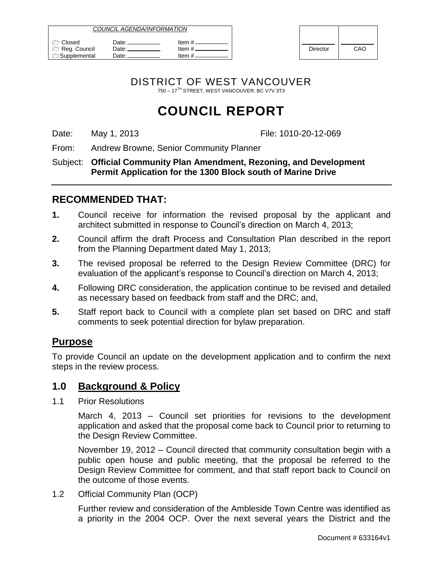| <i>COUNCIL AGENDA/INFORMATION</i>                      |                          |                                  |          |     |
|--------------------------------------------------------|--------------------------|----------------------------------|----------|-----|
| <b>Closed</b><br>Reg. Council<br><b>C</b> Supplemental | Date:<br>Date:⊥<br>Date: | ltem #.<br>ltem #.<br>Item $#$ . | Director | CAO |

| <b>Director</b> | CAO |
|-----------------|-----|

DISTRICT OF WEST VANCOUVER 750 – 17TH STREET, WEST VANCOUVER, BC V7V 3T3

# **COUNCIL REPORT**

Date: May 1, 2013 **File: 1010-20-12-069** 

From: Andrew Browne, Senior Community Planner

Subject: **Official Community Plan Amendment, Rezoning, and Development Permit Application for the 1300 Block south of Marine Drive**

## **RECOMMENDED THAT:**

- **1.** Council receive for information the revised proposal by the applicant and architect submitted in response to Council"s direction on March 4, 2013;
- **2.** Council affirm the draft Process and Consultation Plan described in the report from the Planning Department dated May 1, 2013;
- **3.** The revised proposal be referred to the Design Review Committee (DRC) for evaluation of the applicant's response to Council's direction on March 4, 2013;
- **4.** Following DRC consideration, the application continue to be revised and detailed as necessary based on feedback from staff and the DRC; and,
- **5.** Staff report back to Council with a complete plan set based on DRC and staff comments to seek potential direction for bylaw preparation.

## **Purpose**

To provide Council an update on the development application and to confirm the next steps in the review process.

### **1.0 Background & Policy**

1.1 Prior Resolutions

March 4, 2013 – Council set priorities for revisions to the development application and asked that the proposal come back to Council prior to returning to the Design Review Committee.

November 19, 2012 – Council directed that community consultation begin with a public open house and public meeting, that the proposal be referred to the Design Review Committee for comment, and that staff report back to Council on the outcome of those events.

1.2 Official Community Plan (OCP)

Further review and consideration of the Ambleside Town Centre was identified as a priority in the 2004 OCP. Over the next several years the District and the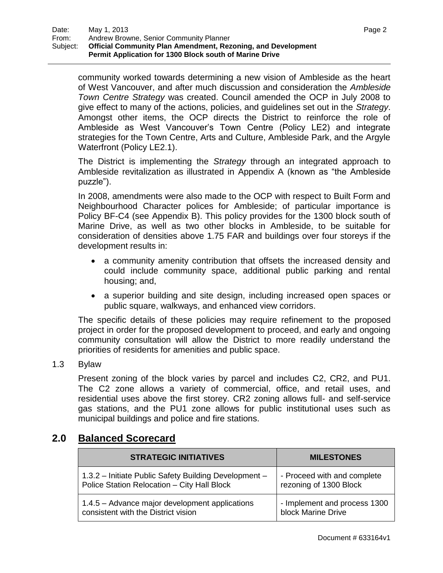community worked towards determining a new vision of Ambleside as the heart of West Vancouver, and after much discussion and consideration the *Ambleside Town Centre Strategy* was created. Council amended the OCP in July 2008 to give effect to many of the actions, policies, and guidelines set out in the *Strategy*. Amongst other items, the OCP directs the District to reinforce the role of Ambleside as West Vancouver"s Town Centre (Policy LE2) and integrate strategies for the Town Centre, Arts and Culture, Ambleside Park, and the Argyle Waterfront (Policy LE2.1).

The District is implementing the *Strategy* through an integrated approach to Ambleside revitalization as illustrated in Appendix A (known as "the Ambleside puzzle").

In 2008, amendments were also made to the OCP with respect to Built Form and Neighbourhood Character polices for Ambleside; of particular importance is Policy BF-C4 (see Appendix B). This policy provides for the 1300 block south of Marine Drive, as well as two other blocks in Ambleside, to be suitable for consideration of densities above 1.75 FAR and buildings over four storeys if the development results in:

- a community amenity contribution that offsets the increased density and could include community space, additional public parking and rental housing; and,
- a superior building and site design, including increased open spaces or public square, walkways, and enhanced view corridors.

The specific details of these policies may require refinement to the proposed project in order for the proposed development to proceed, and early and ongoing community consultation will allow the District to more readily understand the priorities of residents for amenities and public space.

1.3 Bylaw

Present zoning of the block varies by parcel and includes C2, CR2, and PU1. The C2 zone allows a variety of commercial, office, and retail uses, and residential uses above the first storey. CR2 zoning allows full- and self-service gas stations, and the PU1 zone allows for public institutional uses such as municipal buildings and police and fire stations.

## **2.0 Balanced Scorecard**

| <b>STRATEGIC INITIATIVES</b>                          | <b>MILESTONES</b>            |
|-------------------------------------------------------|------------------------------|
| 1.3.2 - Initiate Public Safety Building Development - | - Proceed with and complete  |
| Police Station Relocation - City Hall Block           | rezoning of 1300 Block       |
| 1.4.5 – Advance major development applications        | - Implement and process 1300 |
| consistent with the District vision                   | block Marine Drive           |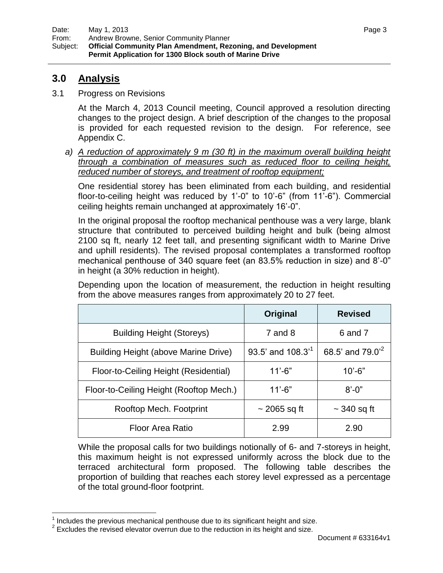## **3.0 Analysis**

 $\overline{a}$ 

3.1 Progress on Revisions

At the March 4, 2013 Council meeting, Council approved a resolution directing changes to the project design. A brief description of the changes to the proposal is provided for each requested revision to the design. For reference, see Appendix C.

*a) A reduction of approximately 9 m (30 ft) in the maximum overall building height through a combination of measures such as reduced floor to ceiling height, reduced number of storeys, and treatment of rooftop equipment;*

One residential storey has been eliminated from each building, and residential floor-to-ceiling height was reduced by 1"-0" to 10"-6" (from 11"-6"). Commercial ceiling heights remain unchanged at approximately 16"-0".

In the original proposal the rooftop mechanical penthouse was a very large, blank structure that contributed to perceived building height and bulk (being almost 2100 sq ft, nearly 12 feet tall, and presenting significant width to Marine Drive and uphill residents). The revised proposal contemplates a transformed rooftop mechanical penthouse of 340 square feet (an 83.5% reduction in size) and 8"-0" in height (a 30% reduction in height).

**Original Revised** Building Height (Storeys) Tand 8 Fig. 3 6 and 7 Building Height (above Marine Drive)  $\vert$  93.5' and 108.3<sup>'1</sup> 68.5' and  $79.0^{2}$ Floor-to-Ceiling Height (Residential) | 11'-6" | 10'-6" Floor-to-Ceiling Height (Rooftop Mech.) | 11'-6" | 8'-0" Rooftop Mech. Footprint  $\vert$   $\sim$  2065 sq ft  $\vert$   $\sim$  340 sq ft

Depending upon the location of measurement, the reduction in height resulting from the above measures ranges from approximately 20 to 27 feet.

While the proposal calls for two buildings notionally of 6- and 7-storeys in height, this maximum height is not expressed uniformly across the block due to the terraced architectural form proposed. The following table describes the proportion of building that reaches each storey level expressed as a percentage of the total ground-floor footprint.

Floor Area Ratio 2.99 2.90

 $1$  Includes the previous mechanical penthouse due to its significant height and size.

 $2$  Excludes the revised elevator overrun due to the reduction in its height and size.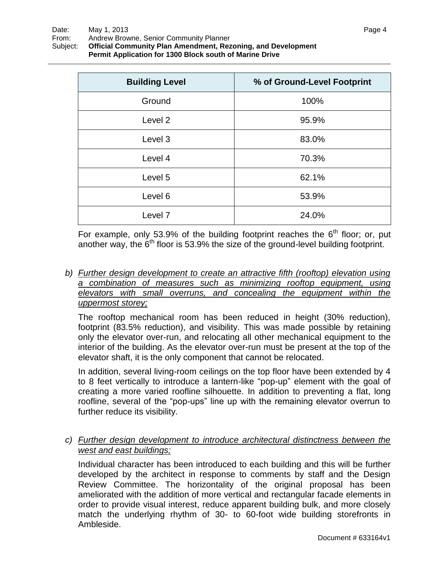| <b>Building Level</b> | % of Ground-Level Footprint |
|-----------------------|-----------------------------|
| Ground                | 100%                        |
| Level 2               | 95.9%                       |
| Level 3               | 83.0%                       |
| Level 4               | 70.3%                       |
| Level 5               | 62.1%                       |
| Level 6               | 53.9%                       |
| Level <sub>7</sub>    | 24.0%                       |

For example, only 53.9% of the building footprint reaches the  $6<sup>th</sup>$  floor; or, put another way, the  $6<sup>th</sup>$  floor is 53.9% the size of the ground-level building footprint.

*b) Further design development to create an attractive fifth (rooftop) elevation using a combination of measures such as minimizing rooftop equipment, using elevators with small overruns, and concealing the equipment within the uppermost storey;*

The rooftop mechanical room has been reduced in height (30% reduction), footprint (83.5% reduction), and visibility. This was made possible by retaining only the elevator over-run, and relocating all other mechanical equipment to the interior of the building. As the elevator over-run must be present at the top of the elevator shaft, it is the only component that cannot be relocated.

In addition, several living-room ceilings on the top floor have been extended by 4 to 8 feet vertically to introduce a lantern-like "pop-up" element with the goal of creating a more varied roofline silhouette. In addition to preventing a flat, long roofline, several of the "pop-ups" line up with the remaining elevator overrun to further reduce its visibility.

*c) Further design development to introduce architectural distinctness between the west and east buildings;*

Individual character has been introduced to each building and this will be further developed by the architect in response to comments by staff and the Design Review Committee. The horizontality of the original proposal has been ameliorated with the addition of more vertical and rectangular facade elements in order to provide visual interest, reduce apparent building bulk, and more closely match the underlying rhythm of 30- to 60-foot wide building storefronts in Ambleside.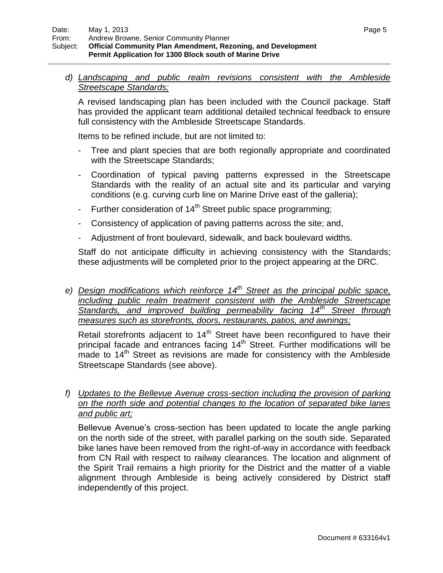*d) Landscaping and public realm revisions consistent with the Ambleside Streetscape Standards;*

A revised landscaping plan has been included with the Council package. Staff has provided the applicant team additional detailed technical feedback to ensure full consistency with the Ambleside Streetscape Standards.

Items to be refined include, but are not limited to:

- Tree and plant species that are both regionally appropriate and coordinated with the Streetscape Standards;
- Coordination of typical paving patterns expressed in the Streetscape Standards with the reality of an actual site and its particular and varying conditions (e.g. curving curb line on Marine Drive east of the galleria);
- Further consideration of  $14<sup>th</sup>$  Street public space programming;
- Consistency of application of paving patterns across the site; and,
- Adjustment of front boulevard, sidewalk, and back boulevard widths.

Staff do not anticipate difficulty in achieving consistency with the Standards; these adjustments will be completed prior to the project appearing at the DRC.

*e) Design modifications which reinforce 14th Street as the principal public space, including public realm treatment consistent with the Ambleside Streetscape Standards, and improved building permeability facing 14th Street through measures such as storefronts, doors, restaurants, patios, and awnings;*

Retail storefronts adjacent to  $14<sup>th</sup>$  Street have been reconfigured to have their principal facade and entrances facing  $14<sup>th</sup>$  Street. Further modifications will be made to  $14<sup>th</sup>$  Street as revisions are made for consistency with the Ambleside Streetscape Standards (see above).

*f) Updates to the Bellevue Avenue cross-section including the provision of parking on the north side and potential changes to the location of separated bike lanes and public art;*

Bellevue Avenue"s cross-section has been updated to locate the angle parking on the north side of the street, with parallel parking on the south side. Separated bike lanes have been removed from the right-of-way in accordance with feedback from CN Rail with respect to railway clearances. The location and alignment of the Spirit Trail remains a high priority for the District and the matter of a viable alignment through Ambleside is being actively considered by District staff independently of this project.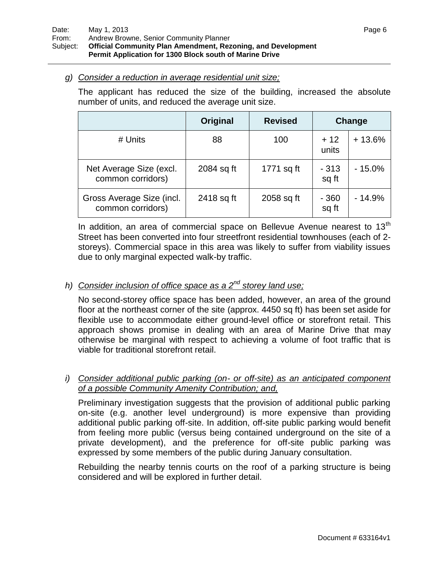#### *g) Consider a reduction in average residential unit size;*

The applicant has reduced the size of the building, increased the absolute number of units, and reduced the average unit size.

|                                                | Original   | <b>Revised</b> |                 | Change   |
|------------------------------------------------|------------|----------------|-----------------|----------|
| # Units                                        | 88         | 100            | $+12$<br>units  | $+13.6%$ |
| Net Average Size (excl.<br>common corridors)   | 2084 sq ft | 1771 sq ft     | $-313$<br>sq ft | $-15.0%$ |
| Gross Average Size (incl.<br>common corridors) | 2418 sq ft | 2058 sq ft     | $-360$<br>sq ft | - 14.9%  |

In addition, an area of commercial space on Bellevue Avenue nearest to  $13<sup>th</sup>$ Street has been converted into four streetfront residential townhouses (each of 2 storeys). Commercial space in this area was likely to suffer from viability issues due to only marginal expected walk-by traffic.

## *h) Consider inclusion of office space as a 2<sup>nd</sup> storey land use;*

No second-storey office space has been added, however, an area of the ground floor at the northeast corner of the site (approx. 4450 sq ft) has been set aside for flexible use to accommodate either ground-level office or storefront retail. This approach shows promise in dealing with an area of Marine Drive that may otherwise be marginal with respect to achieving a volume of foot traffic that is viable for traditional storefront retail.

#### *i) Consider additional public parking (on- or off-site) as an anticipated component of a possible Community Amenity Contribution; and,*

Preliminary investigation suggests that the provision of additional public parking on-site (e.g. another level underground) is more expensive than providing additional public parking off-site. In addition, off-site public parking would benefit from feeling more public (versus being contained underground on the site of a private development), and the preference for off-site public parking was expressed by some members of the public during January consultation.

Rebuilding the nearby tennis courts on the roof of a parking structure is being considered and will be explored in further detail.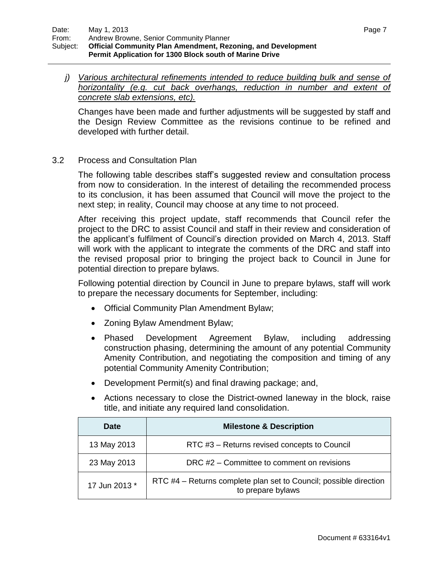*j) Various architectural refinements intended to reduce building bulk and sense of horizontality (e.g. cut back overhangs, reduction in number and extent of concrete slab extensions, etc).*

Changes have been made and further adjustments will be suggested by staff and the Design Review Committee as the revisions continue to be refined and developed with further detail.

#### 3.2 Process and Consultation Plan

The following table describes staff"s suggested review and consultation process from now to consideration. In the interest of detailing the recommended process to its conclusion, it has been assumed that Council will move the project to the next step; in reality, Council may choose at any time to not proceed.

After receiving this project update, staff recommends that Council refer the project to the DRC to assist Council and staff in their review and consideration of the applicant"s fulfilment of Council"s direction provided on March 4, 2013. Staff will work with the applicant to integrate the comments of the DRC and staff into the revised proposal prior to bringing the project back to Council in June for potential direction to prepare bylaws.

Following potential direction by Council in June to prepare bylaws, staff will work to prepare the necessary documents for September, including:

- Official Community Plan Amendment Bylaw;
- Zoning Bylaw Amendment Bylaw;
- Phased Development Agreement Bylaw, including addressing construction phasing, determining the amount of any potential Community Amenity Contribution, and negotiating the composition and timing of any potential Community Amenity Contribution;
- Development Permit(s) and final drawing package; and,
- Actions necessary to close the District-owned laneway in the block, raise title, and initiate any required land consolidation.

| Date          | <b>Milestone &amp; Description</b>                                                     |  |
|---------------|----------------------------------------------------------------------------------------|--|
| 13 May 2013   | RTC #3 - Returns revised concepts to Council                                           |  |
| 23 May 2013   | DRC #2 – Committee to comment on revisions                                             |  |
| 17 Jun 2013 * | RTC #4 – Returns complete plan set to Council; possible direction<br>to prepare bylaws |  |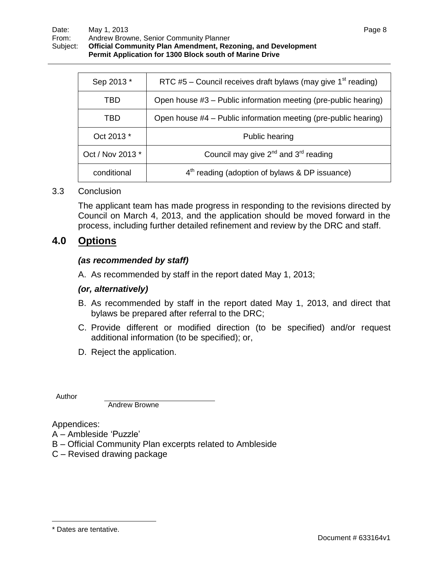| Sep 2013 *       | RTC #5 – Council receives draft bylaws (may give $1st$ reading) |  |
|------------------|-----------------------------------------------------------------|--|
| TBD              | Open house #3 – Public information meeting (pre-public hearing) |  |
| TBD              | Open house #4 - Public information meeting (pre-public hearing) |  |
| Oct 2013 *       | Public hearing                                                  |  |
| Oct / Nov 2013 * | Council may give $2^{nd}$ and $3^{rd}$ reading                  |  |
| conditional      | $4th$ reading (adoption of bylaws & DP issuance)                |  |

#### 3.3 Conclusion

The applicant team has made progress in responding to the revisions directed by Council on March 4, 2013, and the application should be moved forward in the process, including further detailed refinement and review by the DRC and staff.

### **4.0 Options**

#### *(as recommended by staff)*

A. As recommended by staff in the report dated May 1, 2013;

#### *(or, alternatively)*

- B. As recommended by staff in the report dated May 1, 2013, and direct that bylaws be prepared after referral to the DRC;
- C. Provide different or modified direction (to be specified) and/or request additional information (to be specified); or,
- D. Reject the application.

Author

Andrew Browne

Appendices:

- A Ambleside "Puzzle"
- B Official Community Plan excerpts related to Ambleside
- C Revised drawing package

 $\overline{a}$ 

<sup>\*</sup> Dates are tentative.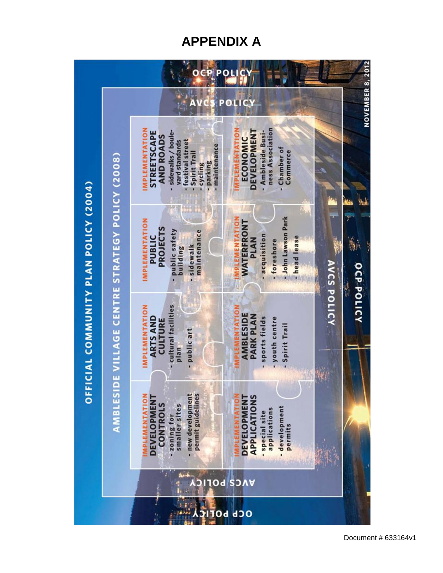# **APPENDIX A**